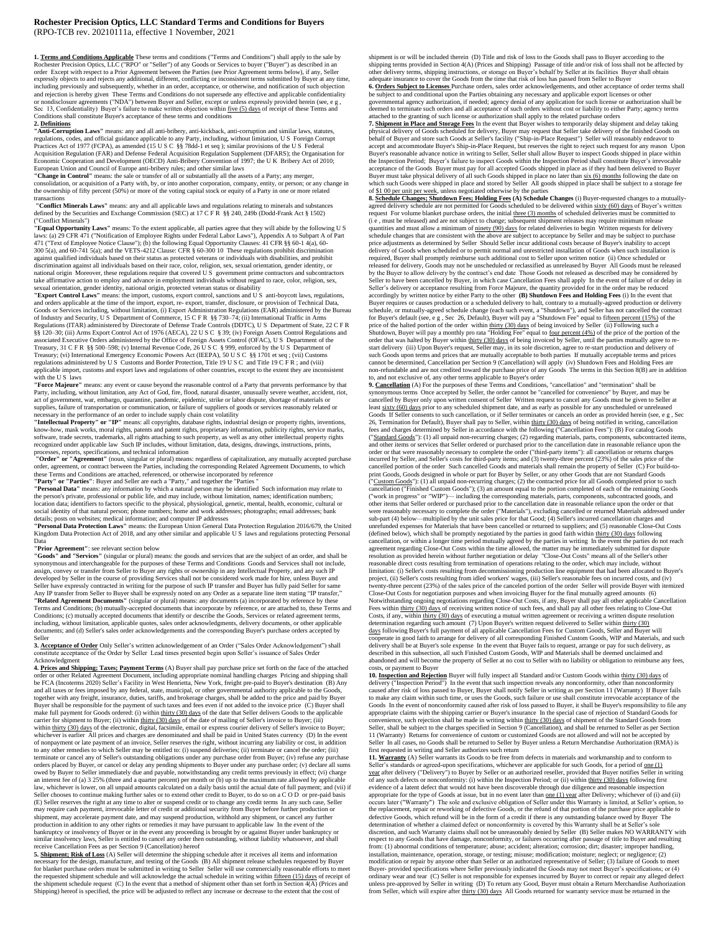## **Rochester Precision Optics, LLC Standard Terms and Conditions for Buyers** (RPO-TCB rev. 20210111a, effective 1 November, 2021

**1. <u>Terms and Conditions Applicable</u>** These terms and conditions ("Terms and Conditions") shall apply to the sale by<br>Rochester Precision Ontics. [1 C ("RPO" or "Sallar") of any Conditions Conditions" rester Precision Optics, LLC ("RPO" or "Seller") of any Goods or Services to buyer ("Buyer") as described in an order Except with respect to a Prior Agreement between the Parties (see Prior Agreement terms below), if any, Seller expressly objects to and rejects any additional, different, conflicting or inconsistent terms submitted by Buyer at any time, including previously and subsequently, whether in an order, acceptance, or otherwise, and notification of such objection and rejection is hereby given These Terms and Conditions do not supersede any effective and applicable confidentiality or nondisclosure agreements ("NDA") between Buyer and Seller, except or unless expressly provided herein (see, e g,<br>Sec 13, Confidentiality) Buyer's failure to make written objection within <u>five (5) days</u> of receipt of th Conditions shall constitute Buyer's acceptance of these terms and conditions 2. Definitions

**2. Definitions "Anti-Corruption Laws"** means: any and all anti-bribery, anti-kickback, anti-corruption and similar laws, statutes, regulations, codes, and official guidance applicable to any Party, including, without limitation, U S Foreign Corrupt<br>Practices Act of 1977 (FCPA), as amended (15 U S C §§ 78dd-1 et seq ); similar provisions of the U S Fed Acquisition Regulation (FAR) and Defense Federal Acquisition Regulation Supplement (DFARS); the Organisation for<br>Economic Cooperation and Development (OECD) Anti-Bribery Convention of 1997; the U K Bribery Act of 2010;<br>Eur

"Change in Control" means: the sale or transfer of all or substantially all the assets of a Party; any merger,<br>consolidation, or acquisition of a Party with, by, or into another corporation, company, entity, or person; or the ownership of fifty percent (50%) or more of the voting capital stock or equity of a Party in one or more related<br>transactions

transactions<br>**''Conflict Minerals Laws''** means: any and all applicable laws and regulations relating to minerals and substances<br>defined by the Securities and Exchange Commission (SEC) at 17 C F R §§ 240, 249b (Dodd-Frank

("Conflict Minerals")<br>
"Equal Opportunity Laws" means: To the extent applicable, all parties agree that they will abide by the following U S<br>
"Equal Opportunity Laws" in easts (a) all parties agree that they will abide by national origin Moreover, these regulations require that covered U  $\overline{S}$  government prime contractors and subcontractors take affirmative action to employ and advance in employment individuals without regard to race, color, religion, sex,

sexual orientation, gender identity, national origin, protected veteran status or disability **"Export Control Laws"** means: the import, customs, export control, sanctions and U S anti-boycott laws, regulations, and orders applicable at the time of the import, export, re- export, transfer, disclosure, or provision of Technical Data, Goods or Services including, without limitation, (i) Export Administration Regulations (EAR) administered by the Bureau<br>of Industry and Security, U S Department of Commerce, 15 C F R §§ 730–74; (ii) International Traffic i Regulations (ITAR) administered by Directorate of Defense Trade Controls (DDTC), U.S. Department of State, 22 C.F.R<br>§§ 120–30; (iii) Arms Export Control Act of 1976 (AECA), 22 U.S.C. § 39; (iv) Foreign Assets Control Regul Treasury, 31 C F R §§ 500–598; (v) Internal Revenue Code, 26 U S C § 999, enforced by the U S Department of Treasury; (vi) International Emergency Economic Powers Act (IEEPA), 50 U S C §§ 1701 et seq ; (vii) Customs regulations administered by U S Customs and Border Protection, Title 19 U S C and Title 19 C F R ; and (viii)<br>applicable import, customs and export laws and regulations of other countries, except to the extent they are inc with the U S laws

"Force Majeure" means: any event or cause beyond the reasonable control of a Party that prevents performance by that<br>Party, including, without limitation, any Act of God, fire, flood, natural disaster, unusually severe wea act of government, war, embargo, quarantine, pandemic, epidemic, strike or labor dispute, shortage of materials or<br>supplies, failure of transportation or communication, or failure of suppliers of goods or services reasonab

necessary in the performance of an order to include supply chain cost volatility<br>**''Intellectual Property'' or ''IP''** means: all copyrights, database rights, industrial design or property rights, inventions,<br>know-how, mas software, trade secrets, trademarks, all rights attaching to such property, as well as any other intellectual property rights<br>recognized under applicable law Such IP includes, without limitation, data, designs, drawings, i

processes, reports, specifications, and technical information<br>"Order" or "Agreement" (noun, singular or plural) means: regardless of capitalization, any mutually accepted purchase order, agreement, or contract between the Parties, including the corresponding Related Agreement Documents, to which these Terms and Conditions are attached, referenced, or otherwise incorporated by reference<br>"**Party" or "Parties**": Buyer and Seller are each a "Party," and together the "Parties"<br>"**Personal Data"** means: any information b

the person's private, professional or public life, and may include, without limitation, names; identification numbers;<br>location data; identifiers to factors specific to the physical, physiological, genetic, mental, health, social identity of that natural person; phone numbers; home and work addresses; photographs; email addresses; bank

details; posts on websites; medical information; and computer IP addresses **"Personal Data Protection Laws"** means: the European Union General Data Protection Regulation 2016/679, the United Kingdom Data Protection Act of 2018, and any other similar and applicable U S laws and regulations protecting Personal Data

## **"Prior Agreement"**: see relevant section below

"Goods" and "Services" (singular or plural) means: the goods and services that are the subject of an order, and shall be synonymous and interchangeable for the purposes of these Terms and Conditions Goods and Services shal assign, convey or transfer from Seller to Buyer any rights or ownership in any Intellectual Property, and any such IP<br>developed by Seller in the course of providing Services shall not be considered work made for hire, unle Seller have expressly contracted in writing for the purpose of such IP transfer and Buyer has fully paid Seller for same<br>Any IP transfer from Seller to Buyer shall be expressly noted on any Order as a separate line item st Terms and Conditions; (b) mutually-accepted documents that incorporate by reference, or are attached to, these Terms and<br>Conditions; (c) mutually accepted documents that identify or describe the Goods, Services or related including, without limitation, applicable quotes, sales order acknowledgments, delivery documents, or other applicable<br>documents; and (d) Seller's sales order acknowledgements and the corresponding Buyer's purchase orders Seller

**3. Acceptance of Order** Only Seller's written acknowledgement of an Order ("Sales Order Acknowledgement") shall constitute acceptance of the Order by Seller Lead times presented begin upon Seller's issuance of Sales Order

Acknowledgment **4. Prices and Shipping; Taxes; Payment Terms** (A) Buyer shall pay purchase price set forth on the face of the attached order or other Related Agreement Document, including appropriate nominal handling charges Pricing and shipping shall<br>be FCA (Incoterms 2020) Seller's Facility in West Henrietta, New York, freight pre-paid to Buyer's destin Buyer shall be responsible for the payment of such taxes and fees even if not added to the invoice price (C) Buyer shall<br>make full payment for Goods ordered: (i) within thirty (30) days of the date that Seller delivers Goo carrier for shipment to Buyer; (ii) within thirty (30) days of the date of mailing of Seller's invoice to Buyer; (iii)<br>within <u>thirty (30) days</u> of the electronic, digital, facsimile, email or express courier delivery of S of nonpayment or late payment of an invoice, Seller reserves the right, without incurring any liability or cost, in addition<br>to any other remedies to which Seller may be entitled to: (i) suspend deliveries; (ii) terminate terminate or cancel any of Seller's outstanding obligations under any purchase order from Buyer; (iv) refuse any purchase<br>orders placed by Buyer, or cancel or delay any pending shipments to Buyer under any purchase order; owed by Buyer to Seller immediately due and payable, notwithstanding any credit terms previously in effect; (vi) charge<br>an interest fee of (a) 3 25% (three and a quarter percent) per month or (b) up to the maximum rate all Seller chooses to continue making further sales or to extend other credit to Buyer, to do so on a COD or pre-paid basis<br>(E) Seller reserves the right at any time to alter or suspend credit or to change any credit terms In may require cash payment, irrevocable letter of credit or additional security from Buyer before further production or shipment, may accelerate payment date, and may suspend production, withhold any shipment, or cancel any further<br>production in addition to any other rights or remedies it may have pursuant to applicable law In the event of

**5. <u>Shipment: Risk of Loss</u>** (A) Seller will determine the shipping schedule after it receives all items and information<br>necessary for the design, manufacture, and testing of the Goods (B) All shipment release schedules r the requested shipment schedule and will acknowledge the actual schedule in writing within **fifteen** (15) days of receipt of the shipment schedule request (C) In the event that a method of shipment other than set forth in Section 4(A) (Prices and Shipping) hereof is specified, the price will be adjusted to reflect any increase or decrease to the extent that the cost of

shipment is or will be included therein (D) Title and risk of loss to the Goods shall pass to Buyer according to the shipping terms provided in Section 4(A) (Prices and Shipping) Passage of title and/or risk of loss shall not be affected by<br>other delivery terms, shipping instructions, or storage on Buyer's behalf by Seller at its facilit adequate insurance to cover the Goods from the time that risk of loss has passed from Seller to Buyer<br>6. Orders Subject to Licenses Purchase orders, sales order acknowledgements, and other acceptance of order terms shall

be subject to and conditional upon the Parties obtaining any necessary and applicable export licenses or other governmental agency authorization, if needed; agency denial of any application for such license or authorization shall be<br>decemed to terminate such orders and all acceptance of such orders without cost or liability to eith

behalf of Buyer and store such Goods at Seller's facility ("Ship-in-Place Request") Seller will reasonably endeavor to<br>accept and accommodate Buyer's Ship-in-Place Request, but reserves the right to reject such request for Buyer's reasonable advance notice in writing to Seller, Seller shall allow Buyer to inspect Goods shipped in place within<br>the Inspection Period; Buyer's failure to inspect Goods within the Inspection Period shall constitut Buyer must take physical delivery of all such Goods shipped in place no later than six (6) months following the date on<br>which such Goods were shipped in place and stored by Seller All goods shipped in place shall be subjec of \$1 00 per unit per week, unless negotiated otherwise by the parties **8. Schedule Changes; Shutdown Fees; Holding Fees (A) Schedule Changes** (i) Buyer-requested changes to a mutually-

agreed delivery schedule are not permitted for Goods scheduled to be delivered within sixty (60) days of Buyer's written<br>request For volume blanket purchase orders, the initial three (3) months of scheduled deliveries must (i e , must be released) and are not subject to change; subsequent shipment releases may require minimum release quantities and must allow a minimum of <u>ninety (90) days</u> for related deliveries to begin Written requests for delivery<br>schedule changes that are consistent with the above are subject to acceptance by Seller and may be sub delivery of Goods when scheduled or to permit normal and unrestricted installation of Goods when such installation is required, Buyer shall promptly reimburse such additional cost to Seller upon written notice (ii) Once scheduled or<br>released for delivery, Goods may not be unscheduled or reclassified as unreleased by Buyer All Goods must b by the Buyer to allow delivery by the contract's end date Those Goods not released as described may be considered by<br>Seller to have been cancelled by Buyer, in which case Cancellation Fees shall apply In the event of failu Buyer requires or causes production or a scheduled delivery to halt, contrary to a mutually-agreed production or delivery<br>schedule, or mutually-agreed schedule change (each such event, a "Shudown"), and Seller has not canc price of the halted portion of the order within <u>thirty (30) days</u> of being invoiced by Seller (ii) Following such a<br>Shutdown, Buyer will pay a monthly pro rata "Holding Fee" equal to <u>four percent (4%)</u> of the price of th start delivery (iii) Upon Buyer's request, Seller may, in its sole discretion, agree to re-start production and delivery of<br>such Goods upon terms and prices that are mutually acceptable to both parties If mutually acceptab cannot be determined, Cancellation per Section 9 (Cancellation) will apply (iv) Shutdown Fees and Holding Fees are<br>non-refundable and are not credited toward the purchase price of any Goods The terms in this Section 8(B) a

to, and not exclusive of, any other terms applicable to Buyer's order<br>9. <u>Cancellation</u> (A) For the purposes of these Terms and Conditions, "cancellation" and "termination" shall be<br>synonymous terms Once accepted by Selle cancelled by Buyer only upon written consent of Seller Written request to cancel any Goods must be given to Seller at<br>least sixty (60) days prior to any scheduled shipment date, and as early as possible for any unscheduled Goods If Seller consents to such cancellation, or if Seller terminates or cancels an order as provided herein (see, e g , Sec 26, Termination for Default), Buyer shall pay to Seller, within thirty (30) days of being notified in writing, cancellation<br>fees and charges determined by Seller in accordance with the following ("Cancellation Fees"): (B) ("Standard Goods"): (1) all unpaid non-recurring charges; (2) regarding materials, parts, components, subcontracted items,<br>and other items or services that Seller ordered or purchased prior to the cancellation date in reas order or that were reasonably necessary to complete the order ("third-party items"): all cancellation or returns charges<br>incurred by Seller, and Seller's costs for third-party items; and (3) twenty-three percent (23%) of t print Goods, Goods designed in whole or part for Buyer by Seller, or any other Goods that are not Standard Goods ("Custom Goods"): (1) all unpaid non-recurring charges; (2) the contracted price for all Goods completed prior to such<br>cancellation ("Finished Custom Goods"); (3) an amount equal to the portion completed of each of the rem ("work in progress" or "WIP")— including the corresponding materials, parts, components, subcontracted goods, and<br>other items that Seller ordered or purchased prior to the cancellation date in reasonable reliance upon the sub-part (4) below—multiplied by the unit sales price for that Good; (4) Seller's incurred cancellation charges and<br>unrefunded expenses for Materials that have been cancelled or returned to suppliers; and (5) reasonable Cl (defined below), which shall be promptly negotiated by the parties in good faith within thirty (30) days following<br>cancellation, or within a longer time period mutually agreed by the parties in writing In the event the par agreement regarding Close-Out Costs within the time allowed, the matter may be immediately submitted for dispute<br>resolution as provided herein without further negotiation or delay "Close-Out Costs" means all of the Seller limitation: (i) Seller's costs resulting from decommissioning production line equipment that had been allocated to Buyer's<br>project, (ii) Seller's costs resulting from idled workers' wages, (iii) Seller's reasonable fees on twenty-three percent (23%) of the sales price of the canceled portion of the order Seller will provide Buyer with itemized Close-Out Costs for negotiation purposes and when invoiding Buyer for the final mutually agreed amo determination regarding such amount (7) Upon Buyer's written request delivered to Seller within <u>thirty (30)</u><br><u>days</u> following Buyer's full payment of all applicable Cancellation Fees for Custom Goods, Seller and Buyer wil cooperate in good faith to arrange for delivery of all corresponding Finished Custom Goods, WIP and Materials, and such delivery shall be at Buyer's sole expense In the event that Buyer fails to request, arrange or pay for such delivery, as<br>described in this subsection, all such Finished Custom Goods, WIP and Materials shall be deemed uncla abandoned and will become the property of Seller at no cost to Seller with no liability or obligation to reimburse any fees, costs, or payment to Buyer

10. Inspection and Rejection Buyer will fully inspect all Standard and/or Custom Goods within <u>thirty (30) days</u> of<br>delivery ("Inspection Period") In the event that such inspection reveals any nonconformity, other than non to make any claim within such time, or uses the Goods, such failure or use shall constitute irrevocable acceptance of the Goods In the event of nonconformity caused after risk of loss passed to Buyer, it shall be Buyer's responsibility to file any<br>appropriate claims with the shipping carrier or Buyer's insurance In the special case of rejecti convenience, such rejection shall be made in writing within <u>thirty (30) days</u> of shipment of the Standard Goods from<br>Seller, shall be subject to the charges specified in Section 9 (Cancellation), and shall be returned to Seller In all cases, no Goods shall be returned to Seller by Buyer unless a Return Merchandise Authorization (RMA) is first requested in writing and Seller authorizes such return

11. Warranty (A) Seller warrants its Goods to be free from defects in materials and workmanship and to conform to<br>Seller's standards or agreed-upon specifications, whichever are applicable for such Goods, for a period of <u></u> y<u>ear</u> after delivery ("Delivery") to Buyer by Seller or an authorized reseller, provided that Buyer notifies Seller in writing<br>of any such defects or nonconformity: (i) within the Inspection Period; or (ii) within <u>thirty</u> appropriate for the type of Goods at issue, but in no event later than <u>one (1) year</u> after Delivery; whichever of (i) and (ii)<br>occurs later ("Warranty") The sole and exclusive obligation of Seller under this Warranty is l the replacement, repair or reworking of defective Goods, or the refund of that portion of the purchase price applicable to<br>defective Goods, which refund will be in the form of a credit if there is any outstanding balance o discretion, and such Warranty claims shall not be unreasonably denied by Seller (B) Seller makes NO WARRANTY with<br>respect to any Goods that have damage, nonconformity, or failures occurring after passage of title to Buyer Buyer- provided specifications where Seller previously indicated the Goods may not meet Buyer's specifications; or (4)<br>ordinary wear and tear (C) Seller is not responsible for expenses incurred by Buyer to correct or repai